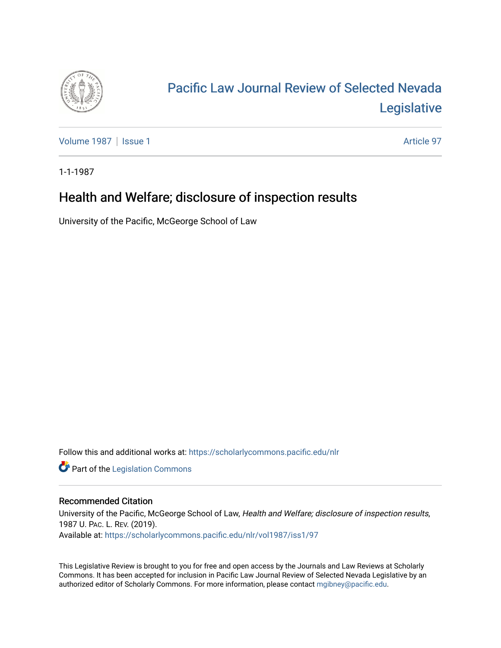

# [Pacific Law Journal Review of Selected Nevada](https://scholarlycommons.pacific.edu/nlr)  [Legislative](https://scholarlycommons.pacific.edu/nlr)

[Volume 1987](https://scholarlycommons.pacific.edu/nlr/vol1987) | [Issue 1](https://scholarlycommons.pacific.edu/nlr/vol1987/iss1) Article 97

1-1-1987

# Health and Welfare; disclosure of inspection results

University of the Pacific, McGeorge School of Law

Follow this and additional works at: [https://scholarlycommons.pacific.edu/nlr](https://scholarlycommons.pacific.edu/nlr?utm_source=scholarlycommons.pacific.edu%2Fnlr%2Fvol1987%2Fiss1%2F97&utm_medium=PDF&utm_campaign=PDFCoverPages) 

**Part of the [Legislation Commons](http://network.bepress.com/hgg/discipline/859?utm_source=scholarlycommons.pacific.edu%2Fnlr%2Fvol1987%2Fiss1%2F97&utm_medium=PDF&utm_campaign=PDFCoverPages)** 

## Recommended Citation

University of the Pacific, McGeorge School of Law, Health and Welfare; disclosure of inspection results, 1987 U. PAC. L. REV. (2019). Available at: [https://scholarlycommons.pacific.edu/nlr/vol1987/iss1/97](https://scholarlycommons.pacific.edu/nlr/vol1987/iss1/97?utm_source=scholarlycommons.pacific.edu%2Fnlr%2Fvol1987%2Fiss1%2F97&utm_medium=PDF&utm_campaign=PDFCoverPages)

This Legislative Review is brought to you for free and open access by the Journals and Law Reviews at Scholarly Commons. It has been accepted for inclusion in Pacific Law Journal Review of Selected Nevada Legislative by an authorized editor of Scholarly Commons. For more information, please contact [mgibney@pacific.edu](mailto:mgibney@pacific.edu).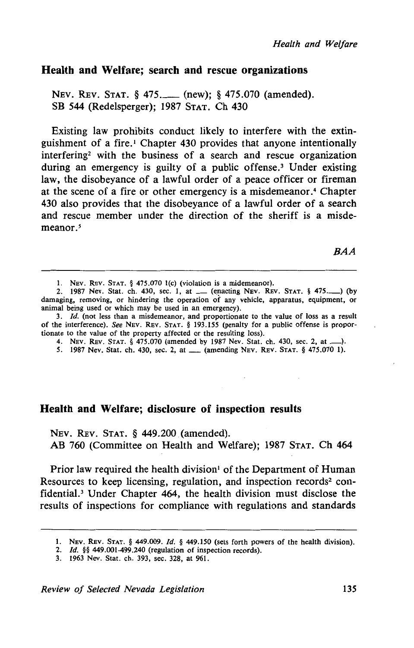# **Health and Welfare; search and rescue organizations**

NEV. REV. STAT. § 475.\_\_\_ (new): § 475.070 (amended). SB 544 (Redelsperger); 1987 STAT. Ch 430

Existing law prohibits conduct likely to interfere with the extinguishment of a fire.<sup>1</sup> Chapter 430 provides that anyone intentionally interfering2 with the business of a search and rescue organization during an emergency is guilty of a public offense.<sup>3</sup> Under existing law, the disobeyance of a lawful order of a peace officer or fireman at the scene of a fire or other emergency is a misdemeanor. 4 Chapter 430 also provides that the disobeyance of a lawful order of a search and rescue member under the direction of the sheriff is a misdemeanor.<sup>5</sup>

BAA

### **Health and Welfare; disclosure of inspection results**

NEv. REv. STAT. § 449.200 (amended). AB 760 (Committee on Health and Welfare); 1987 STAT. Ch 464

Prior law required the health division<sup>1</sup> of the Department of Human Resources to keep licensing, regulation, and inspection records<sup>2</sup> confidential.3 Under Chapter 464, the health division must disclose the results of inspections for compliance with regulations and standards

<sup>1.</sup> NEv. REv. STAT. § 475.070 l(c) (violation is a midemeanor).

<sup>2. 1987</sup> Nev. Stat. ch. 430, sec. 1, at \_\_ (enacting NEV. REV. STAT. § 475..........) (by damaging, removing, or hindering the operation of any vehicle, apparatus, equipment, or animal being used or which may be used in an emergency).

<sup>3.</sup> *Id.* (not less than a misdemeanor, and proportionate to the value of loss as a result of the interference). See NEv. REv. STAT. § 193.155 (penalty for a public offense is proportionate to the value of the property affected or the resulting loss).

<sup>4.</sup> NEV. REv. STAT. § 475.070 (amended by 1987 Nev. Stat. ch. 430, sec. 2, at \_). *5.* 1987 Nev. Stat. ch. 430, sec. 2, at\_ (amending NEv. REv. STAT. § 475.070 1).

<sup>1.</sup> NEV. REV. STAT. § 449.009. Id. § 449.150 (sets forth powers of the health division).

<sup>2.</sup> *ld.* §§ 449.001-499.240 (regulation of inspection records).

<sup>3. 1963</sup> Nev. Stat. ch. 393, sec. 328, at 961.